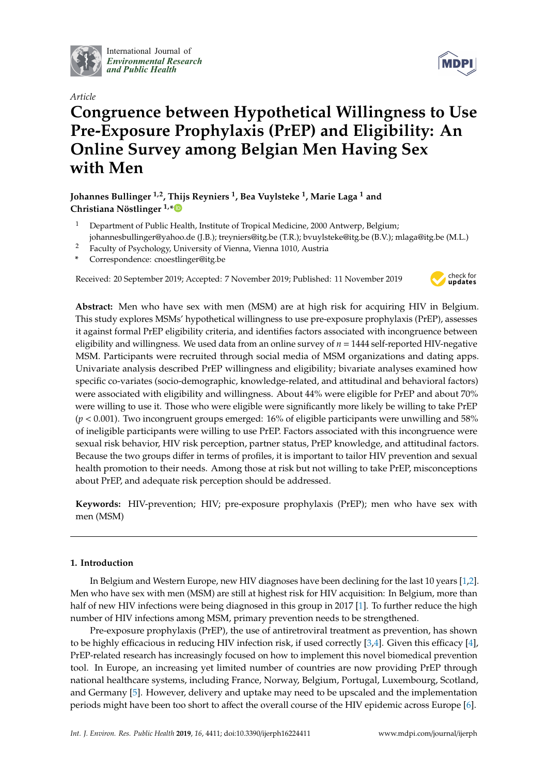

International Journal of *[Environmental Research](http://www.mdpi.com/journal/ijerph) and Public Health*





# **Congruence between Hypothetical Willingness to Use Pre-Exposure Prophylaxis (PrEP) and Eligibility: An Online Survey among Belgian Men Having Sex with Men**

**Johannes Bullinger 1,2, Thijs Reyniers <sup>1</sup> , Bea Vuylsteke <sup>1</sup> , Marie Laga <sup>1</sup> and Christiana Nöstlinger 1,[\\*](https://orcid.org/0000-0001-9031-8503)**

- <sup>1</sup> Department of Public Health, Institute of Tropical Medicine, 2000 Antwerp, Belgium; johannesbullinger@yahoo.de (J.B.); treyniers@itg.be (T.R.); bvuylsteke@itg.be (B.V.); mlaga@itg.be (M.L.)
- <sup>2</sup> Faculty of Psychology, University of Vienna, Vienna 1010, Austria
- **\*** Correspondence: cnoestlinger@itg.be

Received: 20 September 2019; Accepted: 7 November 2019; Published: 11 November 2019



**Abstract:** Men who have sex with men (MSM) are at high risk for acquiring HIV in Belgium. This study explores MSMs' hypothetical willingness to use pre-exposure prophylaxis (PrEP), assesses it against formal PrEP eligibility criteria, and identifies factors associated with incongruence between eligibility and willingness. We used data from an online survey of *n* = 1444 self-reported HIV-negative MSM. Participants were recruited through social media of MSM organizations and dating apps. Univariate analysis described PrEP willingness and eligibility; bivariate analyses examined how specific co-variates (socio-demographic, knowledge-related, and attitudinal and behavioral factors) were associated with eligibility and willingness. About 44% were eligible for PrEP and about 70% were willing to use it. Those who were eligible were significantly more likely be willing to take PrEP (*p* < 0.001). Two incongruent groups emerged: 16% of eligible participants were unwilling and 58% of ineligible participants were willing to use PrEP. Factors associated with this incongruence were sexual risk behavior, HIV risk perception, partner status, PrEP knowledge, and attitudinal factors. Because the two groups differ in terms of profiles, it is important to tailor HIV prevention and sexual health promotion to their needs. Among those at risk but not willing to take PrEP, misconceptions about PrEP, and adequate risk perception should be addressed.

**Keywords:** HIV-prevention; HIV; pre-exposure prophylaxis (PrEP); men who have sex with men (MSM)

## **1. Introduction**

In Belgium and Western Europe, new HIV diagnoses have been declining for the last 10 years [\[1](#page-10-0)[,2\]](#page-10-1). Men who have sex with men (MSM) are still at highest risk for HIV acquisition: In Belgium, more than half of new HIV infections were being diagnosed in this group in 2017 [\[1\]](#page-10-0). To further reduce the high number of HIV infections among MSM, primary prevention needs to be strengthened.

Pre-exposure prophylaxis (PrEP), the use of antiretroviral treatment as prevention, has shown to be highly efficacious in reducing HIV infection risk, if used correctly [\[3](#page-10-2)[,4\]](#page-11-0). Given this efficacy [\[4\]](#page-11-0), PrEP-related research has increasingly focused on how to implement this novel biomedical prevention tool. In Europe, an increasing yet limited number of countries are now providing PrEP through national healthcare systems, including France, Norway, Belgium, Portugal, Luxembourg, Scotland, and Germany [\[5\]](#page-11-1). However, delivery and uptake may need to be upscaled and the implementation periods might have been too short to affect the overall course of the HIV epidemic across Europe [\[6\]](#page-11-2).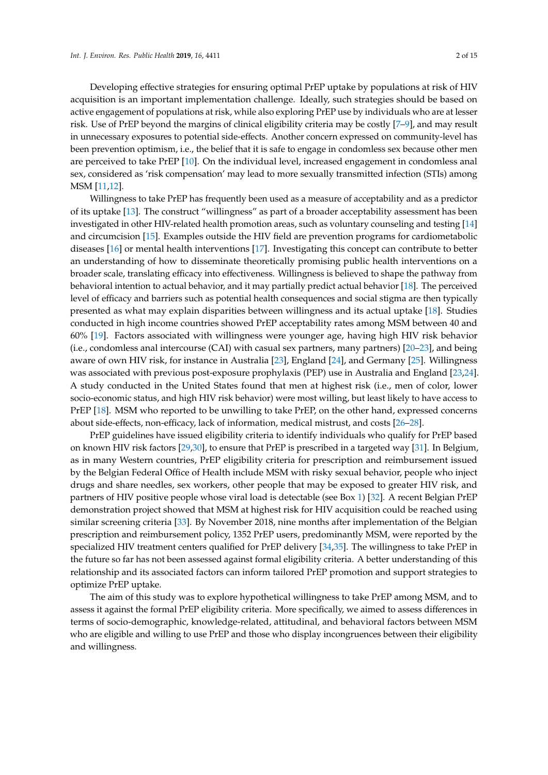Developing effective strategies for ensuring optimal PrEP uptake by populations at risk of HIV acquisition is an important implementation challenge. Ideally, such strategies should be based on active engagement of populations at risk, while also exploring PrEP use by individuals who are at lesser risk. Use of PrEP beyond the margins of clinical eligibility criteria may be costly [\[7](#page-11-3)[–9\]](#page-11-4), and may result in unnecessary exposures to potential side-effects. Another concern expressed on community-level has been prevention optimism, i.e., the belief that it is safe to engage in condomless sex because other men are perceived to take PrEP [\[10\]](#page-11-5). On the individual level, increased engagement in condomless anal sex, considered as 'risk compensation' may lead to more sexually transmitted infection (STIs) among MSM [\[11](#page-11-6)[,12\]](#page-11-7).

Willingness to take PrEP has frequently been used as a measure of acceptability and as a predictor of its uptake [\[13\]](#page-11-8). The construct "willingness" as part of a broader acceptability assessment has been investigated in other HIV-related health promotion areas, such as voluntary counseling and testing [\[14\]](#page-11-9) and circumcision [\[15\]](#page-11-10). Examples outside the HIV field are prevention programs for cardiometabolic diseases [\[16\]](#page-11-11) or mental health interventions [\[17\]](#page-11-12). Investigating this concept can contribute to better an understanding of how to disseminate theoretically promising public health interventions on a broader scale, translating efficacy into effectiveness. Willingness is believed to shape the pathway from behavioral intention to actual behavior, and it may partially predict actual behavior [\[18\]](#page-11-13). The perceived level of efficacy and barriers such as potential health consequences and social stigma are then typically presented as what may explain disparities between willingness and its actual uptake [\[18\]](#page-11-13). Studies conducted in high income countries showed PrEP acceptability rates among MSM between 40 and 60% [\[19\]](#page-11-14). Factors associated with willingness were younger age, having high HIV risk behavior (i.e., condomless anal intercourse (CAI) with casual sex partners, many partners) [\[20–](#page-11-15)[23\]](#page-12-0), and being aware of own HIV risk, for instance in Australia [\[23\]](#page-12-0), England [\[24\]](#page-12-1), and Germany [\[25\]](#page-12-2). Willingness was associated with previous post-exposure prophylaxis (PEP) use in Australia and England [\[23,](#page-12-0)[24\]](#page-12-1). A study conducted in the United States found that men at highest risk (i.e., men of color, lower socio-economic status, and high HIV risk behavior) were most willing, but least likely to have access to PrEP [\[18\]](#page-11-13). MSM who reported to be unwilling to take PrEP, on the other hand, expressed concerns about side-effects, non-efficacy, lack of information, medical mistrust, and costs [\[26](#page-12-3)[–28\]](#page-12-4).

PrEP guidelines have issued eligibility criteria to identify individuals who qualify for PrEP based on known HIV risk factors [\[29](#page-12-5)[,30\]](#page-12-6), to ensure that PrEP is prescribed in a targeted way [\[31\]](#page-12-7). In Belgium, as in many Western countries, PrEP eligibility criteria for prescription and reimbursement issued by the Belgian Federal Office of Health include MSM with risky sexual behavior, people who inject drugs and share needles, sex workers, other people that may be exposed to greater HIV risk, and partners of HIV positive people whose viral load is detectable (see Box [1\)](#page-2-0) [\[32\]](#page-12-8). A recent Belgian PrEP demonstration project showed that MSM at highest risk for HIV acquisition could be reached using similar screening criteria [\[33\]](#page-12-9). By November 2018, nine months after implementation of the Belgian prescription and reimbursement policy, 1352 PrEP users, predominantly MSM, were reported by the specialized HIV treatment centers qualified for PrEP delivery [\[34](#page-12-10)[,35\]](#page-12-11). The willingness to take PrEP in the future so far has not been assessed against formal eligibility criteria. A better understanding of this relationship and its associated factors can inform tailored PrEP promotion and support strategies to optimize PrEP uptake.

The aim of this study was to explore hypothetical willingness to take PrEP among MSM, and to assess it against the formal PrEP eligibility criteria. More specifically, we aimed to assess differences in terms of socio-demographic, knowledge-related, attitudinal, and behavioral factors between MSM who are eligible and willing to use PrEP and those who display incongruences between their eligibility and willingness.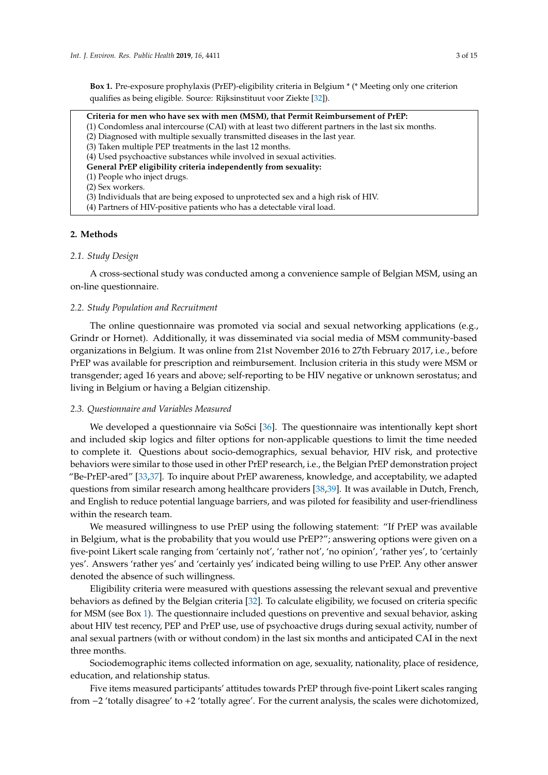<span id="page-2-0"></span>**Box 1.** Pre-exposure prophylaxis (PrEP)-eligibility criteria in Belgium \* (\* Meeting only one criterion qualifies as being eligible. Source: Rijksinstituut voor Ziekte [\[32\]](#page-12-8)).

**Criteria for men who have sex with men (MSM), that Permit Reimbursement of PrEP:** (1) Condomless anal intercourse (CAI) with at least two different partners in the last six months. (2) Diagnosed with multiple sexually transmitted diseases in the last year. (3) Taken multiple PEP treatments in the last 12 months. (4) Used psychoactive substances while involved in sexual activities. **General PrEP eligibility criteria independently from sexuality:** (1) People who inject drugs. (2) Sex workers. (3) Individuals that are being exposed to unprotected sex and a high risk of HIV. (4) Partners of HIV-positive patients who has a detectable viral load.

## **2. Methods**

## *2.1. Study Design*

A cross-sectional study was conducted among a convenience sample of Belgian MSM, using an on-line questionnaire.

## *2.2. Study Population and Recruitment*

The online questionnaire was promoted via social and sexual networking applications (e.g., Grindr or Hornet). Additionally, it was disseminated via social media of MSM community-based organizations in Belgium. It was online from 21st November 2016 to 27th February 2017, i.e., before PrEP was available for prescription and reimbursement. Inclusion criteria in this study were MSM or transgender; aged 16 years and above; self-reporting to be HIV negative or unknown serostatus; and living in Belgium or having a Belgian citizenship.

## *2.3. Questionnaire and Variables Measured*

We developed a questionnaire via SoSci [\[36\]](#page-12-12). The questionnaire was intentionally kept short and included skip logics and filter options for non-applicable questions to limit the time needed to complete it. Questions about socio-demographics, sexual behavior, HIV risk, and protective behaviors were similar to those used in other PrEP research, i.e., the Belgian PrEP demonstration project "Be-PrEP-ared" [\[33](#page-12-9)[,37\]](#page-12-13). To inquire about PrEP awareness, knowledge, and acceptability, we adapted questions from similar research among healthcare providers [\[38](#page-12-14)[,39\]](#page-12-15). It was available in Dutch, French, and English to reduce potential language barriers, and was piloted for feasibility and user-friendliness within the research team.

We measured willingness to use PrEP using the following statement: "If PrEP was available in Belgium, what is the probability that you would use PrEP?"; answering options were given on a five-point Likert scale ranging from 'certainly not', 'rather not', 'no opinion', 'rather yes', to 'certainly yes'. Answers 'rather yes' and 'certainly yes' indicated being willing to use PrEP. Any other answer denoted the absence of such willingness.

Eligibility criteria were measured with questions assessing the relevant sexual and preventive behaviors as defined by the Belgian criteria [\[32\]](#page-12-8). To calculate eligibility, we focused on criteria specific for MSM (see Box [1\)](#page-2-0). The questionnaire included questions on preventive and sexual behavior, asking about HIV test recency, PEP and PrEP use, use of psychoactive drugs during sexual activity, number of anal sexual partners (with or without condom) in the last six months and anticipated CAI in the next three months.

Sociodemographic items collected information on age, sexuality, nationality, place of residence, education, and relationship status.

Five items measured participants' attitudes towards PrEP through five-point Likert scales ranging from −2 'totally disagree' to +2 'totally agree'. For the current analysis, the scales were dichotomized,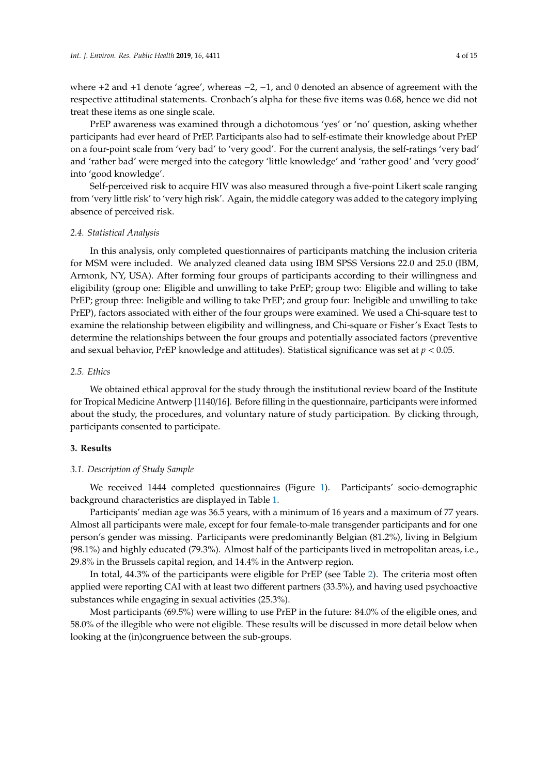where +2 and +1 denote 'agree', whereas −2, −1, and 0 denoted an absence of agreement with the respective attitudinal statements. Cronbach's alpha for these five items was 0.68, hence we did not treat these items as one single scale.

PrEP awareness was examined through a dichotomous 'yes' or 'no' question, asking whether participants had ever heard of PrEP. Participants also had to self-estimate their knowledge about PrEP on a four-point scale from 'very bad' to 'very good'. For the current analysis, the self-ratings 'very bad' and 'rather bad' were merged into the category 'little knowledge' and 'rather good' and 'very good' into 'good knowledge'.

Self-perceived risk to acquire HIV was also measured through a five-point Likert scale ranging from 'very little risk' to 'very high risk'. Again, the middle category was added to the category implying absence of perceived risk.

## *2.4. Statistical Analysis*

In this analysis, only completed questionnaires of participants matching the inclusion criteria for MSM were included. We analyzed cleaned data using IBM SPSS Versions 22.0 and 25.0 (IBM, Armonk, NY, USA). After forming four groups of participants according to their willingness and eligibility (group one: Eligible and unwilling to take PrEP; group two: Eligible and willing to take PrEP; group three: Ineligible and willing to take PrEP; and group four: Ineligible and unwilling to take PrEP), factors associated with either of the four groups were examined. We used a Chi-square test to examine the relationship between eligibility and willingness, and Chi-square or Fisher's Exact Tests to determine the relationships between the four groups and potentially associated factors (preventive and sexual behavior, PrEP knowledge and attitudes). Statistical significance was set at *p* < 0.05.

## *2.5. Ethics*

We obtained ethical approval for the study through the institutional review board of the Institute for Tropical Medicine Antwerp [1140/16]. Before filling in the questionnaire, participants were informed about the study, the procedures, and voluntary nature of study participation. By clicking through, participants consented to participate.

## **3. Results**

## *3.1. Description of Study Sample*

We received 1444 completed questionnaires (Figure [1\)](#page-4-0). Participants' socio-demographic background characteristics are displayed in Table [1.](#page-4-1)

Participants' median age was 36.5 years, with a minimum of 16 years and a maximum of 77 years. Almost all participants were male, except for four female-to-male transgender participants and for one person's gender was missing. Participants were predominantly Belgian (81.2%), living in Belgium (98.1%) and highly educated (79.3%). Almost half of the participants lived in metropolitan areas, i.e., 29.8% in the Brussels capital region, and 14.4% in the Antwerp region.

In total, 44.3% of the participants were eligible for PrEP (see Table [2\)](#page-4-2). The criteria most often applied were reporting CAI with at least two different partners (33.5%), and having used psychoactive substances while engaging in sexual activities (25.3%).

Most participants (69.5%) were willing to use PrEP in the future: 84.0% of the eligible ones, and 58.0% of the illegible who were not eligible. These results will be discussed in more detail below when looking at the (in)congruence between the sub-groups.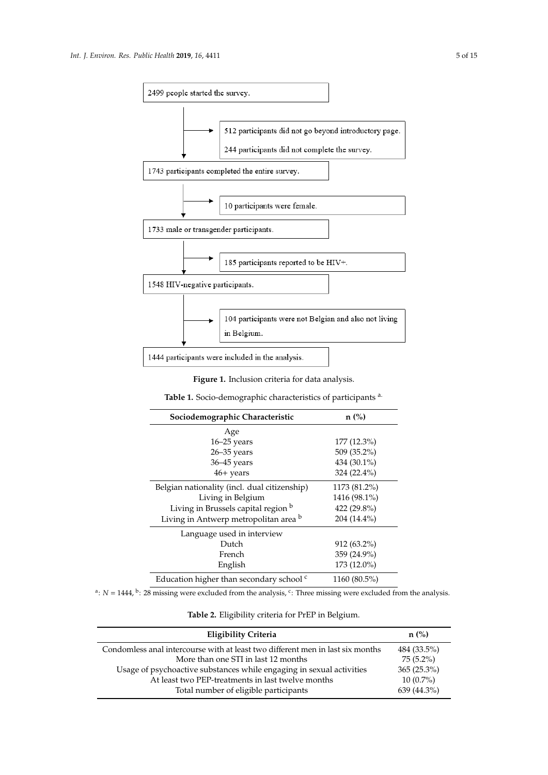<span id="page-4-0"></span>

**Figure 1.** Inclusion criteria for data analysis.

**Table 1.** Socio-demographic characteristics of participants <sup>a.</sup>

<span id="page-4-1"></span>

| Sociodemographic Characteristic                     | $n$ (%)       |  |  |  |
|-----------------------------------------------------|---------------|--|--|--|
| Age                                                 |               |  |  |  |
| $16 - 25$ years                                     | $177(12.3\%)$ |  |  |  |
| $26 - 35$ years                                     | 509 (35.2%)   |  |  |  |
| 36-45 years                                         | 434 (30.1%)   |  |  |  |
| $46+$ years                                         | 324 (22.4%)   |  |  |  |
| Belgian nationality (incl. dual citizenship)        | 1173 (81.2%)  |  |  |  |
| Living in Belgium                                   | 1416 (98.1%)  |  |  |  |
| Living in Brussels capital region b                 | 422 (29.8%)   |  |  |  |
| Living in Antwerp metropolitan area b               | 204 (14.4%)   |  |  |  |
| Language used in interview                          |               |  |  |  |
| Dutch                                               | $912(63.2\%)$ |  |  |  |
| French                                              | 359 (24.9%)   |  |  |  |
| English                                             | 173 (12.0%)   |  |  |  |
| Education higher than secondary school <sup>c</sup> | 1160 (80.5%)  |  |  |  |

<span id="page-4-2"></span><sup>a</sup>:  $N = 1444$ , <sup>b</sup>: 28 missing were excluded from the analysis, <sup>c</sup>: Three missing were excluded from the analysis.

**Table 2.** Eligibility criteria for PrEP in Belgium.

| Eligibility Criteria                                                           | $n$ (%)       |
|--------------------------------------------------------------------------------|---------------|
| Condomless anal intercourse with at least two different men in last six months | 484 (33.5%)   |
| More than one STI in last 12 months                                            | $75(5.2\%)$   |
| Usage of psychoactive substances while engaging in sexual activities           | $365(25.3\%)$ |
| At least two PEP-treatments in last twelve months                              | $10(0.7\%)$   |
| Total number of eligible participants                                          | 639 (44.3%)   |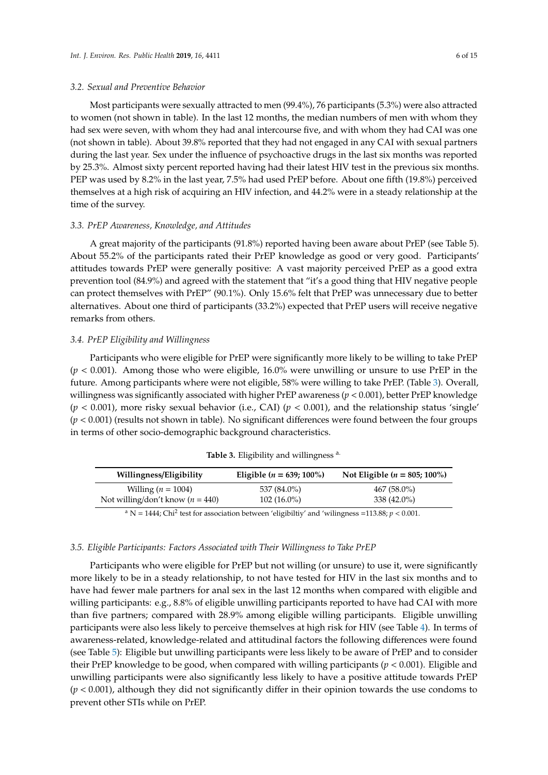#### *3.2. Sexual and Preventive Behavior*

Most participants were sexually attracted to men (99.4%), 76 participants (5.3%) were also attracted to women (not shown in table). In the last 12 months, the median numbers of men with whom they had sex were seven, with whom they had anal intercourse five, and with whom they had CAI was one (not shown in table). About 39.8% reported that they had not engaged in any CAI with sexual partners during the last year. Sex under the influence of psychoactive drugs in the last six months was reported by 25.3%. Almost sixty percent reported having had their latest HIV test in the previous six months. PEP was used by 8.2% in the last year, 7.5% had used PrEP before. About one fifth (19.8%) perceived themselves at a high risk of acquiring an HIV infection, and 44.2% were in a steady relationship at the time of the survey.

## *3.3. PrEP Awareness, Knowledge, and Attitudes*

A great majority of the participants (91.8%) reported having been aware about PrEP (see Table 5). About 55.2% of the participants rated their PrEP knowledge as good or very good. Participants' attitudes towards PrEP were generally positive: A vast majority perceived PrEP as a good extra prevention tool (84.9%) and agreed with the statement that "it's a good thing that HIV negative people can protect themselves with PrEP" (90.1%). Only 15.6% felt that PrEP was unnecessary due to better alternatives. About one third of participants (33.2%) expected that PrEP users will receive negative remarks from others.

#### *3.4. PrEP Eligibility and Willingness*

Participants who were eligible for PrEP were significantly more likely to be willing to take PrEP  $(p < 0.001)$ . Among those who were eligible, 16.0% were unwilling or unsure to use PrEP in the future. Among participants where were not eligible, 58% were willing to take PrEP. (Table [3\)](#page-5-0). Overall, willingness was significantly associated with higher PrEP awareness  $(p < 0.001)$ , better PrEP knowledge  $(p < 0.001)$ , more risky sexual behavior (i.e., CAI)  $(p < 0.001)$ , and the relationship status 'single'  $(p < 0.001)$  (results not shown in table). No significant differences were found between the four groups in terms of other socio-demographic background characteristics.

<span id="page-5-0"></span>

|                                    | Eligible ( $n = 639; 100\%$ ) | Not Eligible ( $n = 805; 100\%$ ) |
|------------------------------------|-------------------------------|-----------------------------------|
| Willing $(n = 1004)$               | 537 (84.0%)                   | $467(58.0\%)$                     |
| Not willing/don't know $(n = 440)$ | $102(16.0\%)$                 | 338 (42.0%)                       |

Table 3. Eligibility and willingness a.

 $^{\text{a}}$  N = 1444; Chi<sup>2</sup> test for association between 'eligibiltiy' and 'wilingness =113.88; *p* < 0.001.

# *3.5. Eligible Participants: Factors Associated with Their Willingness to Take PrEP*

Participants who were eligible for PrEP but not willing (or unsure) to use it, were significantly more likely to be in a steady relationship, to not have tested for HIV in the last six months and to have had fewer male partners for anal sex in the last 12 months when compared with eligible and willing participants: e.g., 8.8% of eligible unwilling participants reported to have had CAI with more than five partners; compared with 28.9% among eligible willing participants. Eligible unwilling participants were also less likely to perceive themselves at high risk for HIV (see Table [4\)](#page-6-0). In terms of awareness-related, knowledge-related and attitudinal factors the following differences were found (see Table [5\)](#page-7-0): Eligible but unwilling participants were less likely to be aware of PrEP and to consider their PrEP knowledge to be good, when compared with willing participants (*p* < 0.001). Eligible and unwilling participants were also significantly less likely to have a positive attitude towards PrEP  $(p < 0.001)$ , although they did not significantly differ in their opinion towards the use condoms to prevent other STIs while on PrEP.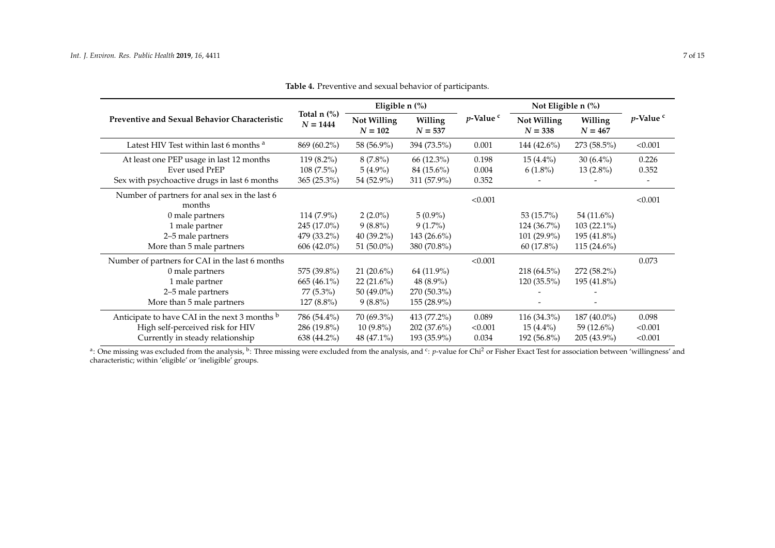|                                                         |                                | Eligible $n$ $\%$ )      |                      |                | Not Eligible n (%)       |                      |                |
|---------------------------------------------------------|--------------------------------|--------------------------|----------------------|----------------|--------------------------|----------------------|----------------|
| <b>Preventive and Sexual Behavior Characteristic</b>    | Total $n$ $\%$ )<br>$N = 1444$ | Not Willing<br>$N = 102$ | Willing<br>$N = 537$ | $p$ -Value $c$ | Not Willing<br>$N = 338$ | Willing<br>$N = 467$ | $p$ -Value $c$ |
| Latest HIV Test within last 6 months <sup>a</sup>       | 869 (60.2%)                    | 58 (56.9%)               | 394 (73.5%)          | 0.001          | 144 $(42.6\%)$           | 273 (58.5%)          | < 0.001        |
| At least one PEP usage in last 12 months                | 119 (8.2%)                     | $8(7.8\%)$               | 66 (12.3%)           | 0.198          | $15(4.4\%)$              | $30(6.4\%)$          | 0.226          |
| Ever used PrEP                                          | $108(7.5\%)$                   | $5(4.9\%)$               | 84 (15.6%)           | 0.004          | $6(1.8\%)$               | $13(2.8\%)$          | 0.352          |
| Sex with psychoactive drugs in last 6 months            | $365(25.3\%)$                  | 54 (52.9%)               | 311 (57.9%)          | 0.352          |                          |                      |                |
| Number of partners for anal sex in the last 6<br>months |                                |                          |                      | < 0.001        |                          |                      | < 0.001        |
| 0 male partners                                         | 114 (7.9%)                     | $2(2.0\%)$               | $5(0.9\%)$           |                | 53 (15.7%)               | 54 (11.6%)           |                |
| 1 male partner                                          | 245 (17.0%)                    | $9(8.8\%)$               | $9(1.7\%)$           |                | $124(36.7\%)$            | $103(22.1\%)$        |                |
| 2-5 male partners                                       | 479 (33.2%)                    | $40(39.2\%)$             | $143(26.6\%)$        |                | 101 (29.9%)              | 195 (41.8%)          |                |
| More than 5 male partners                               | $606(42.0\%)$                  | 51 (50.0%)               | 380 (70.8%)          |                | $60(17.8\%)$             | $115(24.6\%)$        |                |
| Number of partners for CAI in the last 6 months         |                                |                          |                      | < 0.001        |                          |                      | 0.073          |
| 0 male partners                                         | 575 (39.8%)                    | $21(20.6\%)$             | 64 (11.9%)           |                | 218 (64.5%)              | 272 (58.2%)          |                |
| 1 male partner                                          | 665 (46.1%)                    | $22(21.6\%)$             | 48 (8.9%)            |                | 120 (35.5%)              | 195 (41.8%)          |                |
| 2-5 male partners                                       | 77 (5.3%)                      | 50 (49.0%)               | 270 (50.3%)          |                |                          |                      |                |
| More than 5 male partners                               | $127(8.8\%)$                   | $9(8.8\%)$               | 155 (28.9%)          |                |                          |                      |                |
| Anticipate to have CAI in the next 3 months b           | 786 (54.4%)                    | 70 (69.3%)               | 413 (77.2%)          | 0.089          | 116 (34.3%)              | 187 (40.0%)          | 0.098          |
| High self-perceived risk for HIV                        | 286 (19.8%)                    | $10(9.8\%)$              | $202(37.6\%)$        | < 0.001        | $15(4.4\%)$              | 59 $(12.6\%)$        | < 0.001        |
| Currently in steady relationship                        | 638 (44.2%)                    | 48 (47.1%)               | 193 (35.9%)          | 0.034          | 192 (56.8%)              | 205 (43.9%)          | < 0.001        |

**Table 4.** Preventive and sexual behavior of participants.

<span id="page-6-0"></span><sup>a</sup>: One missing was excluded from the analysis, <sup>b</sup>: Three missing were excluded from the analysis, and <sup>c</sup>: *p*-value for Chi<sup>2</sup> or Fisher Exact Test for association between 'willingness' and characteristic; within 'eligible' or 'ineligible' groups.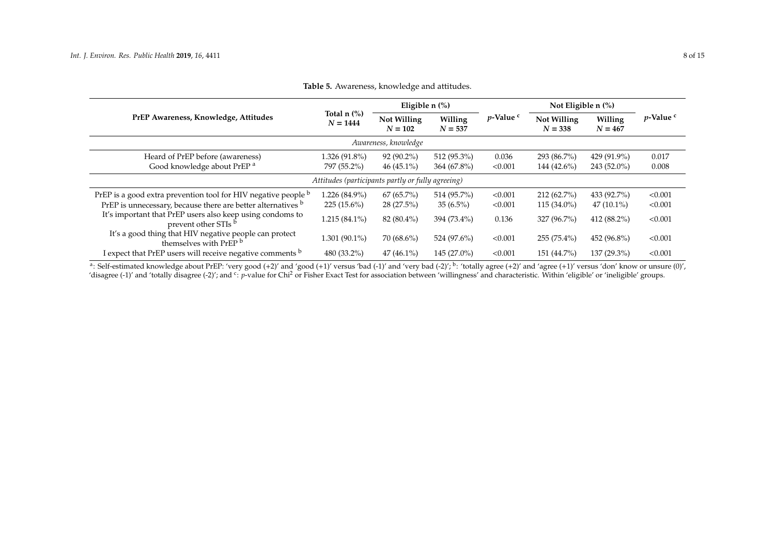| PrEP Awareness, Knowledge, Attitudes                                                        | Total $n$ $\%$ )<br>$N = 1444$ | Eligible $n$ $\left(\frac{9}{6}\right)$ |                      |                              | Not Eligible $n$ $\%$ )  |                      |                    |
|---------------------------------------------------------------------------------------------|--------------------------------|-----------------------------------------|----------------------|------------------------------|--------------------------|----------------------|--------------------|
|                                                                                             |                                | Not Willing<br>$N = 102$                | Willing<br>$N = 537$ | <i>p</i> -Value <sup>c</sup> | Not Willing<br>$N = 338$ | Willing<br>$N = 467$ | $p$ -Value $\circ$ |
| Awareness, knowledge                                                                        |                                |                                         |                      |                              |                          |                      |                    |
| Heard of PrEP before (awareness)                                                            | $1.326(91.8\%)$                | $92(90.2\%)$                            | 512 (95.3%)          | 0.036                        | 293 (86.7%)              | 429 (91.9%)          | 0.017              |
| Good knowledge about PrEP <sup>a</sup>                                                      | 797 (55.2%)                    | $46(45.1\%)$                            | 364 (67.8%)          | < 0.001                      | 144 (42.6%)              | 243 (52.0%)          | 0.008              |
| Attitudes (participants partly or fully agreeing)                                           |                                |                                         |                      |                              |                          |                      |                    |
| PrEP is a good extra prevention tool for HIV negative people b                              | 1.226 (84.9%)                  | $67(65.7\%)$                            | 514 (95.7%)          | < 0.001                      | $212(62.7\%)$            | 433 (92.7%)          | < 0.001            |
| PrEP is unnecessary, because there are better alternatives b                                | $225(15.6\%)$                  | $28(27.5\%)$                            | $35(6.5\%)$          | < 0.001                      | $115(34.0\%)$            | $47(10.1\%)$         | < 0.001            |
| It's important that PrEP users also keep using condoms to<br>prevent other STIs b           | $1.215(84.1\%)$                | $82(80.4\%)$                            | 394 (73.4%)          | 0.136                        | 327 (96.7%)              | 412 $(88.2\%)$       | < 0.001            |
| It's a good thing that HIV negative people can protect<br>themselves with PrEP <sup>b</sup> | $1.301(90.1\%)$                | $70(68.6\%)$                            | 524 (97.6%)          | < 0.001                      | 255 (75.4%)              | 452 (96.8%)          | < 0.001            |
| I expect that PrEP users will receive negative comments b                                   | 480 (33.2%)                    | $47(46.1\%)$                            | $145(27.0\%)$        | < 0.001                      | 151 (44.7%)              | 137 (29.3%)          | < 0.001            |

<span id="page-7-0"></span><sup>a</sup>: Self-estimated knowledge about PrEP: 'very good (+2)' and 'good (+1)' versus 'bad (-1)' and 'very bad (-2)'; <sup>b</sup>: 'totally agree (+2)' and 'agree (+1)' versus 'don' know or unsure (0)', 'disagree (-1)' and 'totally disagree (-2)'; and <sup>c</sup>: *p*-value for Chi<sup>2</sup> or Fisher Exact Test for association between 'willingness' and characteristic. Within 'eligible' or 'ineligible' groups.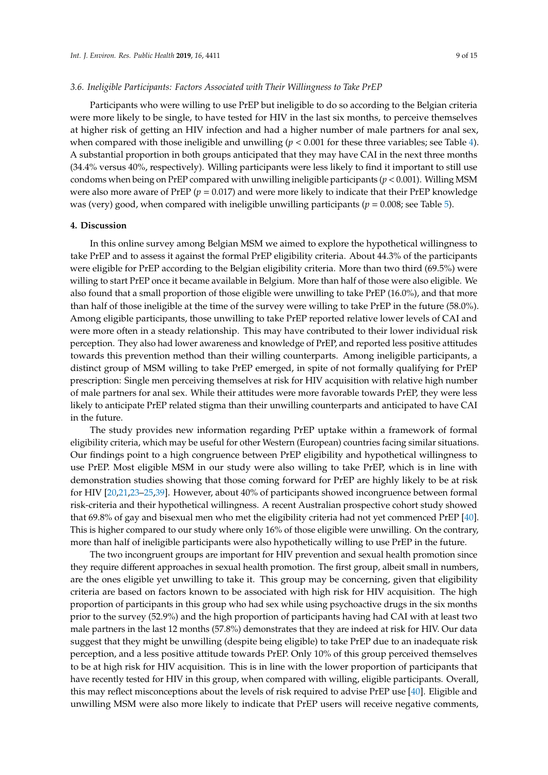## *3.6. Ineligible Participants: Factors Associated with Their Willingness to Take PrEP*

Participants who were willing to use PrEP but ineligible to do so according to the Belgian criteria were more likely to be single, to have tested for HIV in the last six months, to perceive themselves at higher risk of getting an HIV infection and had a higher number of male partners for anal sex, when compared with those ineligible and unwilling  $(p < 0.001$  for these three variables; see Table [4\)](#page-6-0). A substantial proportion in both groups anticipated that they may have CAI in the next three months (34.4% versus 40%, respectively). Willing participants were less likely to find it important to still use condoms when being on PrEP compared with unwilling ineligible participants ( $p < 0.001$ ). Willing MSM were also more aware of PrEP ( $p = 0.017$ ) and were more likely to indicate that their PrEP knowledge was (very) good, when compared with ineligible unwilling participants (*p* = 0.008; see Table [5\)](#page-7-0).

## **4. Discussion**

In this online survey among Belgian MSM we aimed to explore the hypothetical willingness to take PrEP and to assess it against the formal PrEP eligibility criteria. About 44.3% of the participants were eligible for PrEP according to the Belgian eligibility criteria. More than two third (69.5%) were willing to start PrEP once it became available in Belgium. More than half of those were also eligible. We also found that a small proportion of those eligible were unwilling to take PrEP (16.0%), and that more than half of those ineligible at the time of the survey were willing to take PrEP in the future (58.0%). Among eligible participants, those unwilling to take PrEP reported relative lower levels of CAI and were more often in a steady relationship. This may have contributed to their lower individual risk perception. They also had lower awareness and knowledge of PrEP, and reported less positive attitudes towards this prevention method than their willing counterparts. Among ineligible participants, a distinct group of MSM willing to take PrEP emerged, in spite of not formally qualifying for PrEP prescription: Single men perceiving themselves at risk for HIV acquisition with relative high number of male partners for anal sex. While their attitudes were more favorable towards PrEP, they were less likely to anticipate PrEP related stigma than their unwilling counterparts and anticipated to have CAI in the future.

The study provides new information regarding PrEP uptake within a framework of formal eligibility criteria, which may be useful for other Western (European) countries facing similar situations. Our findings point to a high congruence between PrEP eligibility and hypothetical willingness to use PrEP. Most eligible MSM in our study were also willing to take PrEP, which is in line with demonstration studies showing that those coming forward for PrEP are highly likely to be at risk for HIV [\[20,](#page-11-15)[21,](#page-11-16)[23–](#page-12-0)[25](#page-12-2)[,39\]](#page-12-15). However, about 40% of participants showed incongruence between formal risk-criteria and their hypothetical willingness. A recent Australian prospective cohort study showed that 69.8% of gay and bisexual men who met the eligibility criteria had not yet commenced PrEP [\[40\]](#page-12-16). This is higher compared to our study where only 16% of those eligible were unwilling. On the contrary, more than half of ineligible participants were also hypothetically willing to use PrEP in the future.

The two incongruent groups are important for HIV prevention and sexual health promotion since they require different approaches in sexual health promotion. The first group, albeit small in numbers, are the ones eligible yet unwilling to take it. This group may be concerning, given that eligibility criteria are based on factors known to be associated with high risk for HIV acquisition. The high proportion of participants in this group who had sex while using psychoactive drugs in the six months prior to the survey (52.9%) and the high proportion of participants having had CAI with at least two male partners in the last 12 months (57.8%) demonstrates that they are indeed at risk for HIV. Our data suggest that they might be unwilling (despite being eligible) to take PrEP due to an inadequate risk perception, and a less positive attitude towards PrEP. Only 10% of this group perceived themselves to be at high risk for HIV acquisition. This is in line with the lower proportion of participants that have recently tested for HIV in this group, when compared with willing, eligible participants. Overall, this may reflect misconceptions about the levels of risk required to advise PrEP use [\[40\]](#page-12-16). Eligible and unwilling MSM were also more likely to indicate that PrEP users will receive negative comments,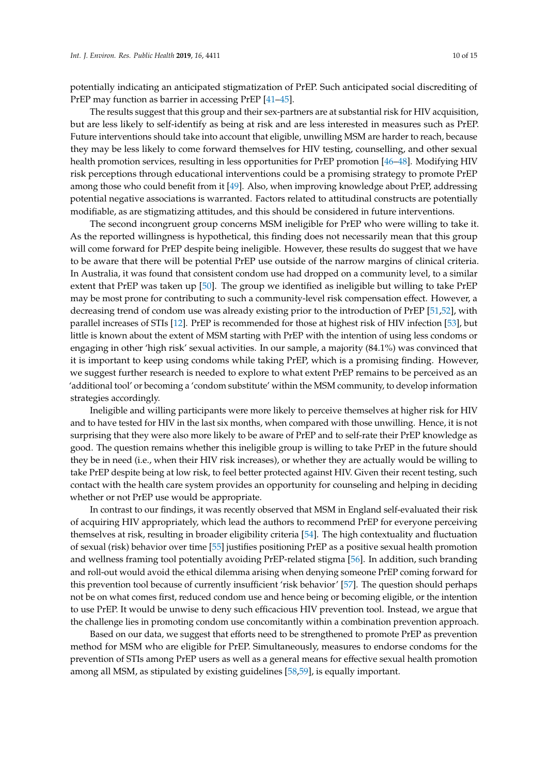potentially indicating an anticipated stigmatization of PrEP. Such anticipated social discrediting of PrEP may function as barrier in accessing PrEP [\[41](#page-13-0)[–45\]](#page-13-1).

The results suggest that this group and their sex-partners are at substantial risk for HIV acquisition, but are less likely to self-identify as being at risk and are less interested in measures such as PrEP. Future interventions should take into account that eligible, unwilling MSM are harder to reach, because they may be less likely to come forward themselves for HIV testing, counselling, and other sexual health promotion services, resulting in less opportunities for PrEP promotion [\[46–](#page-13-2)[48\]](#page-13-3). Modifying HIV risk perceptions through educational interventions could be a promising strategy to promote PrEP among those who could benefit from it [\[49\]](#page-13-4). Also, when improving knowledge about PrEP, addressing potential negative associations is warranted. Factors related to attitudinal constructs are potentially modifiable, as are stigmatizing attitudes, and this should be considered in future interventions.

The second incongruent group concerns MSM ineligible for PrEP who were willing to take it. As the reported willingness is hypothetical, this finding does not necessarily mean that this group will come forward for PrEP despite being ineligible. However, these results do suggest that we have to be aware that there will be potential PrEP use outside of the narrow margins of clinical criteria. In Australia, it was found that consistent condom use had dropped on a community level, to a similar extent that PrEP was taken up [\[50\]](#page-13-5). The group we identified as ineligible but willing to take PrEP may be most prone for contributing to such a community-level risk compensation effect. However, a decreasing trend of condom use was already existing prior to the introduction of PrEP [\[51,](#page-13-6)[52\]](#page-13-7), with parallel increases of STIs [\[12\]](#page-11-7). PrEP is recommended for those at highest risk of HIV infection [\[53\]](#page-13-8), but little is known about the extent of MSM starting with PrEP with the intention of using less condoms or engaging in other 'high risk' sexual activities. In our sample, a majority (84.1%) was convinced that it is important to keep using condoms while taking PrEP, which is a promising finding. However, we suggest further research is needed to explore to what extent PrEP remains to be perceived as an 'additional tool' or becoming a 'condom substitute' within the MSM community, to develop information strategies accordingly.

Ineligible and willing participants were more likely to perceive themselves at higher risk for HIV and to have tested for HIV in the last six months, when compared with those unwilling. Hence, it is not surprising that they were also more likely to be aware of PrEP and to self-rate their PrEP knowledge as good. The question remains whether this ineligible group is willing to take PrEP in the future should they be in need (i.e., when their HIV risk increases), or whether they are actually would be willing to take PrEP despite being at low risk, to feel better protected against HIV. Given their recent testing, such contact with the health care system provides an opportunity for counseling and helping in deciding whether or not PrEP use would be appropriate.

In contrast to our findings, it was recently observed that MSM in England self-evaluated their risk of acquiring HIV appropriately, which lead the authors to recommend PrEP for everyone perceiving themselves at risk, resulting in broader eligibility criteria [\[54\]](#page-13-9). The high contextuality and fluctuation of sexual (risk) behavior over time [\[55\]](#page-13-10) justifies positioning PrEP as a positive sexual health promotion and wellness framing tool potentially avoiding PrEP-related stigma [\[56\]](#page-13-11). In addition, such branding and roll-out would avoid the ethical dilemma arising when denying someone PrEP coming forward for this prevention tool because of currently insufficient 'risk behavior' [\[57\]](#page-13-12). The question should perhaps not be on what comes first, reduced condom use and hence being or becoming eligible, or the intention to use PrEP. It would be unwise to deny such efficacious HIV prevention tool. Instead, we argue that the challenge lies in promoting condom use concomitantly within a combination prevention approach.

Based on our data, we suggest that efforts need to be strengthened to promote PrEP as prevention method for MSM who are eligible for PrEP. Simultaneously, measures to endorse condoms for the prevention of STIs among PrEP users as well as a general means for effective sexual health promotion among all MSM, as stipulated by existing guidelines [\[58,](#page-13-13)[59\]](#page-14-0), is equally important.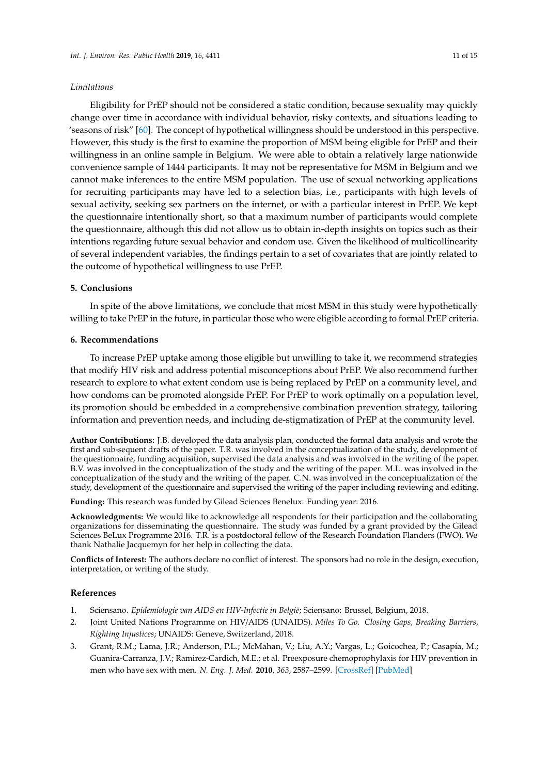#### *Limitations*

Eligibility for PrEP should not be considered a static condition, because sexuality may quickly change over time in accordance with individual behavior, risky contexts, and situations leading to 'seasons of risk" [\[60\]](#page-14-1). The concept of hypothetical willingness should be understood in this perspective. However, this study is the first to examine the proportion of MSM being eligible for PrEP and their willingness in an online sample in Belgium. We were able to obtain a relatively large nationwide convenience sample of 1444 participants. It may not be representative for MSM in Belgium and we cannot make inferences to the entire MSM population. The use of sexual networking applications for recruiting participants may have led to a selection bias, i.e., participants with high levels of sexual activity, seeking sex partners on the internet, or with a particular interest in PrEP. We kept the questionnaire intentionally short, so that a maximum number of participants would complete the questionnaire, although this did not allow us to obtain in-depth insights on topics such as their intentions regarding future sexual behavior and condom use. Given the likelihood of multicollinearity of several independent variables, the findings pertain to a set of covariates that are jointly related to the outcome of hypothetical willingness to use PrEP.

## **5. Conclusions**

In spite of the above limitations, we conclude that most MSM in this study were hypothetically willing to take PrEP in the future, in particular those who were eligible according to formal PrEP criteria.

## **6. Recommendations**

To increase PrEP uptake among those eligible but unwilling to take it, we recommend strategies that modify HIV risk and address potential misconceptions about PrEP. We also recommend further research to explore to what extent condom use is being replaced by PrEP on a community level, and how condoms can be promoted alongside PrEP. For PrEP to work optimally on a population level, its promotion should be embedded in a comprehensive combination prevention strategy, tailoring information and prevention needs, and including de-stigmatization of PrEP at the community level.

**Author Contributions:** J.B. developed the data analysis plan, conducted the formal data analysis and wrote the first and sub-sequent drafts of the paper. T.R. was involved in the conceptualization of the study, development of the questionnaire, funding acquisition, supervised the data analysis and was involved in the writing of the paper. B.V. was involved in the conceptualization of the study and the writing of the paper. M.L. was involved in the conceptualization of the study and the writing of the paper. C.N. was involved in the conceptualization of the study, development of the questionnaire and supervised the writing of the paper including reviewing and editing.

**Funding:** This research was funded by Gilead Sciences Benelux: Funding year: 2016.

**Acknowledgments:** We would like to acknowledge all respondents for their participation and the collaborating organizations for disseminating the questionnaire. The study was funded by a grant provided by the Gilead Sciences BeLux Programme 2016. T.R. is a postdoctoral fellow of the Research Foundation Flanders (FWO). We thank Nathalie Jacquemyn for her help in collecting the data.

**Conflicts of Interest:** The authors declare no conflict of interest. The sponsors had no role in the design, execution, interpretation, or writing of the study.

#### **References**

- <span id="page-10-0"></span>1. Sciensano. *Epidemiologie van AIDS en HIV-Infectie in België*; Sciensano: Brussel, Belgium, 2018.
- <span id="page-10-1"></span>2. Joint United Nations Programme on HIV/AIDS (UNAIDS). *Miles To Go. Closing Gaps, Breaking Barriers, Righting Injustices*; UNAIDS: Geneve, Switzerland, 2018.
- <span id="page-10-2"></span>3. Grant, R.M.; Lama, J.R.; Anderson, P.L.; McMahan, V.; Liu, A.Y.; Vargas, L.; Goicochea, P.; Casapía, M.; Guanira-Carranza, J.V.; Ramirez-Cardich, M.E.; et al. Preexposure chemoprophylaxis for HIV prevention in men who have sex with men. *N. Eng. J. Med.* **2010**, *363*, 2587–2599. [\[CrossRef\]](http://dx.doi.org/10.1056/NEJMoa1011205) [\[PubMed\]](http://www.ncbi.nlm.nih.gov/pubmed/21091279)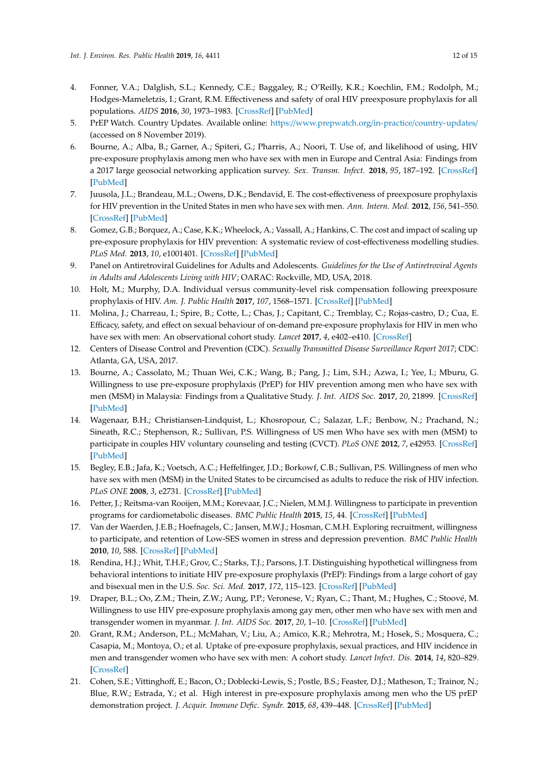- <span id="page-11-0"></span>4. Fonner, V.A.; Dalglish, S.L.; Kennedy, C.E.; Baggaley, R.; O'Reilly, K.R.; Koechlin, F.M.; Rodolph, M.; Hodges-Mameletzis, I.; Grant, R.M. Effectiveness and safety of oral HIV preexposure prophylaxis for all populations. *AIDS* **2016**, *30*, 1973–1983. [\[CrossRef\]](http://dx.doi.org/10.1097/QAD.0000000000001145) [\[PubMed\]](http://www.ncbi.nlm.nih.gov/pubmed/27149090)
- <span id="page-11-1"></span>5. PrEP Watch. Country Updates. Available online: https://[www.prepwatch.org](https://www.prepwatch.org/in-practice/country-updates/)/in-practice/country-updates/ (accessed on 8 November 2019).
- <span id="page-11-2"></span>6. Bourne, A.; Alba, B.; Garner, A.; Spiteri, G.; Pharris, A.; Noori, T. Use of, and likelihood of using, HIV pre-exposure prophylaxis among men who have sex with men in Europe and Central Asia: Findings from a 2017 large geosocial networking application survey. *Sex. Transm. Infect.* **2018**, *95*, 187–192. [\[CrossRef\]](http://dx.doi.org/10.1136/sextrans-2018-053705) [\[PubMed\]](http://www.ncbi.nlm.nih.gov/pubmed/30612107)
- <span id="page-11-3"></span>7. Juusola, J.L.; Brandeau, M.L.; Owens, D.K.; Bendavid, E. The cost-effectiveness of preexposure prophylaxis for HIV prevention in the United States in men who have sex with men. *Ann. Intern. Med.* **2012**, *156*, 541–550. [\[CrossRef\]](http://dx.doi.org/10.7326/0003-4819-156-8-201204170-00001) [\[PubMed\]](http://www.ncbi.nlm.nih.gov/pubmed/22508731)
- 8. Gomez, G.B.; Borquez, A.; Case, K.K.; Wheelock, A.; Vassall, A.; Hankins, C. The cost and impact of scaling up pre-exposure prophylaxis for HIV prevention: A systematic review of cost-effectiveness modelling studies. *PLoS Med.* **2013**, *10*, e1001401. [\[CrossRef\]](http://dx.doi.org/10.1371/journal.pmed.1001401) [\[PubMed\]](http://www.ncbi.nlm.nih.gov/pubmed/23554579)
- <span id="page-11-4"></span>9. Panel on Antiretroviral Guidelines for Adults and Adolescents. *Guidelines for the Use of Antiretroviral Agents in Adults and Adolescents Living with HIV*; OARAC: Rockville, MD, USA, 2018.
- <span id="page-11-5"></span>10. Holt, M.; Murphy, D.A. Individual versus community-level risk compensation following preexposure prophylaxis of HIV. *Am. J. Public Health* **2017**, *107*, 1568–1571. [\[CrossRef\]](http://dx.doi.org/10.2105/AJPH.2017.303930) [\[PubMed\]](http://www.ncbi.nlm.nih.gov/pubmed/28817332)
- <span id="page-11-6"></span>11. Molina, J.; Charreau, I.; Spire, B.; Cotte, L.; Chas, J.; Capitant, C.; Tremblay, C.; Rojas-castro, D.; Cua, E. Efficacy, safety, and effect on sexual behaviour of on-demand pre-exposure prophylaxis for HIV in men who have sex with men: An observational cohort study. *Lancet* **2017**, *4*, e402–e410. [\[CrossRef\]](http://dx.doi.org/10.1016/S2352-3018(17)30089-9)
- <span id="page-11-7"></span>12. Centers of Disease Control and Prevention (CDC). *Sexually Transmitted Disease Surveillance Report 2017*; CDC: Atlanta, GA, USA, 2017.
- <span id="page-11-8"></span>13. Bourne, A.; Cassolato, M.; Thuan Wei, C.K.; Wang, B.; Pang, J.; Lim, S.H.; Azwa, I.; Yee, I.; Mburu, G. Willingness to use pre-exposure prophylaxis (PrEP) for HIV prevention among men who have sex with men (MSM) in Malaysia: Findings from a Qualitative Study. *J. Int. AIDS Soc.* **2017**, *20*, 21899. [\[CrossRef\]](http://dx.doi.org/10.7448/IAS.20.1.21899) [\[PubMed\]](http://www.ncbi.nlm.nih.gov/pubmed/28782336)
- <span id="page-11-9"></span>14. Wagenaar, B.H.; Christiansen-Lindquist, L.; Khosropour, C.; Salazar, L.F.; Benbow, N.; Prachand, N.; Sineath, R.C.; Stephenson, R.; Sullivan, P.S. Willingness of US men Who have sex with men (MSM) to participate in couples HIV voluntary counseling and testing (CVCT). *PLoS ONE* **2012**, *7*, e42953. [\[CrossRef\]](http://dx.doi.org/10.1371/journal.pone.0042953) [\[PubMed\]](http://www.ncbi.nlm.nih.gov/pubmed/22905191)
- <span id="page-11-10"></span>15. Begley, E.B.; Jafa, K.; Voetsch, A.C.; Heffelfinger, J.D.; Borkowf, C.B.; Sullivan, P.S. Willingness of men who have sex with men (MSM) in the United States to be circumcised as adults to reduce the risk of HIV infection. *PLoS ONE* **2008**, *3*, e2731. [\[CrossRef\]](http://dx.doi.org/10.1371/journal.pone.0002731) [\[PubMed\]](http://www.ncbi.nlm.nih.gov/pubmed/18628946)
- <span id="page-11-11"></span>16. Petter, J.; Reitsma-van Rooijen, M.M.; Korevaar, J.C.; Nielen, M.M.J. Willingness to participate in prevention programs for cardiometabolic diseases. *BMC Public Health* **2015**, *15*, 44. [\[CrossRef\]](http://dx.doi.org/10.1186/s12889-015-1379-0) [\[PubMed\]](http://www.ncbi.nlm.nih.gov/pubmed/25637105)
- <span id="page-11-12"></span>17. Van der Waerden, J.E.B.; Hoefnagels, C.; Jansen, M.W.J.; Hosman, C.M.H. Exploring recruitment, willingness to participate, and retention of Low-SES women in stress and depression prevention. *BMC Public Health* **2010**, *10*, 588. [\[CrossRef\]](http://dx.doi.org/10.1186/1471-2458-10-588) [\[PubMed\]](http://www.ncbi.nlm.nih.gov/pubmed/20920371)
- <span id="page-11-13"></span>18. Rendina, H.J.; Whit, T.H.F.; Grov, C.; Starks, T.J.; Parsons, J.T. Distinguishing hypothetical willingness from behavioral intentions to initiate HIV pre-exposure prophylaxis (PrEP): Findings from a large cohort of gay and bisexual men in the U.S. *Soc. Sci. Med.* **2017**, *172*, 115–123. [\[CrossRef\]](http://dx.doi.org/10.1016/j.socscimed.2016.10.030) [\[PubMed\]](http://www.ncbi.nlm.nih.gov/pubmed/27866750)
- <span id="page-11-14"></span>19. Draper, B.L.; Oo, Z.M.; Thein, Z.W.; Aung, P.P.; Veronese, V.; Ryan, C.; Thant, M.; Hughes, C.; Stoové, M. Willingness to use HIV pre-exposure prophylaxis among gay men, other men who have sex with men and transgender women in myanmar. *J. Int. AIDS Soc.* **2017**, *20*, 1–10. [\[CrossRef\]](http://dx.doi.org/10.7448/IAS.20.1.21885) [\[PubMed\]](http://www.ncbi.nlm.nih.gov/pubmed/28741332)
- <span id="page-11-15"></span>20. Grant, R.M.; Anderson, P.L.; McMahan, V.; Liu, A.; Amico, K.R.; Mehrotra, M.; Hosek, S.; Mosquera, C.; Casapia, M.; Montoya, O.; et al. Uptake of pre-exposure prophylaxis, sexual practices, and HIV incidence in men and transgender women who have sex with men: A cohort study. *Lancet Infect. Dis.* **2014**, *14*, 820–829. [\[CrossRef\]](http://dx.doi.org/10.1016/S1473-3099(14)70847-3)
- <span id="page-11-16"></span>21. Cohen, S.E.; Vittinghoff, E.; Bacon, O.; Doblecki-Lewis, S.; Postle, B.S.; Feaster, D.J.; Matheson, T.; Trainor, N.; Blue, R.W.; Estrada, Y.; et al. High interest in pre-exposure prophylaxis among men who the US prEP demonstration project. *J. Acquir. Immune Defic. Syndr.* **2015**, *68*, 439–448. [\[CrossRef\]](http://dx.doi.org/10.1097/QAI.0000000000000479) [\[PubMed\]](http://www.ncbi.nlm.nih.gov/pubmed/25501614)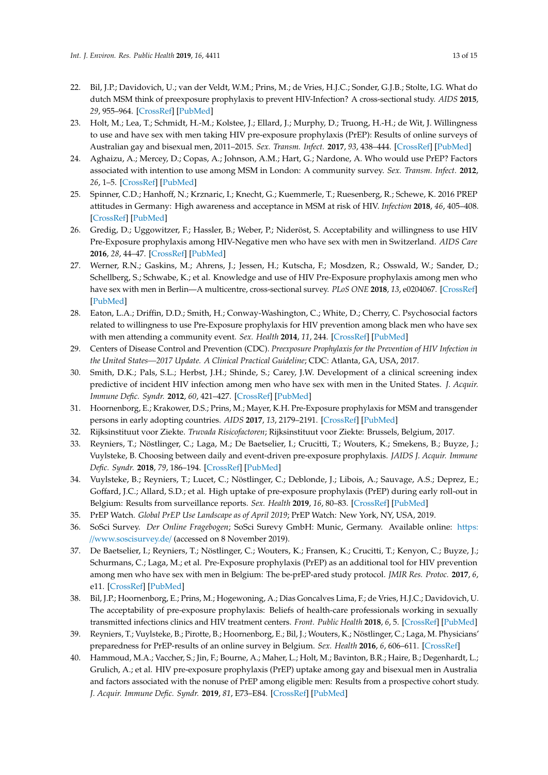- 22. Bil, J.P.; Davidovich, U.; van der Veldt, W.M.; Prins, M.; de Vries, H.J.C.; Sonder, G.J.B.; Stolte, I.G. What do dutch MSM think of preexposure prophylaxis to prevent HIV-Infection? A cross-sectional study. *AIDS* **2015**, *29*, 955–964. [\[CrossRef\]](http://dx.doi.org/10.1097/QAD.0000000000000639) [\[PubMed\]](http://www.ncbi.nlm.nih.gov/pubmed/25915169)
- <span id="page-12-0"></span>23. Holt, M.; Lea, T.; Schmidt, H.-M.; Kolstee, J.; Ellard, J.; Murphy, D.; Truong, H.-H.; de Wit, J. Willingness to use and have sex with men taking HIV pre-exposure prophylaxis (PrEP): Results of online surveys of Australian gay and bisexual men, 2011–2015. *Sex. Transm. Infect.* **2017**, *93*, 438–444. [\[CrossRef\]](http://dx.doi.org/10.1136/sextrans-2016-052774) [\[PubMed\]](http://www.ncbi.nlm.nih.gov/pubmed/28108701)
- <span id="page-12-1"></span>24. Aghaizu, A.; Mercey, D.; Copas, A.; Johnson, A.M.; Hart, G.; Nardone, A. Who would use PrEP? Factors associated with intention to use among MSM in London: A community survey. *Sex. Transm. Infect.* **2012**, *26*, 1–5. [\[CrossRef\]](http://dx.doi.org/10.1136/sextrans-2012-050648) [\[PubMed\]](http://www.ncbi.nlm.nih.gov/pubmed/23015689)
- <span id="page-12-2"></span>25. Spinner, C.D.; Hanhoff, N.; Krznaric, I.; Knecht, G.; Kuemmerle, T.; Ruesenberg, R.; Schewe, K. 2016 PREP attitudes in Germany: High awareness and acceptance in MSM at risk of HIV. *Infection* **2018**, *46*, 405–408. [\[CrossRef\]](http://dx.doi.org/10.1007/s15010-018-1127-3) [\[PubMed\]](http://www.ncbi.nlm.nih.gov/pubmed/29478091)
- <span id="page-12-3"></span>26. Gredig, D.; Uggowitzer, F.; Hassler, B.; Weber, P.; Nideröst, S. Acceptability and willingness to use HIV Pre-Exposure prophylaxis among HIV-Negative men who have sex with men in Switzerland. *AIDS Care* **2016**, *28*, 44–47. [\[CrossRef\]](http://dx.doi.org/10.1080/09540121.2016.1146212) [\[PubMed\]](http://www.ncbi.nlm.nih.gov/pubmed/26971540)
- 27. Werner, R.N.; Gaskins, M.; Ahrens, J.; Jessen, H.; Kutscha, F.; Mosdzen, R.; Osswald, W.; Sander, D.; Schellberg, S.; Schwabe, K.; et al. Knowledge and use of HIV Pre-Exposure prophylaxis among men who have sex with men in Berlin—A multicentre, cross-sectional survey. *PLoS ONE* **2018**, *13*, e0204067. [\[CrossRef\]](http://dx.doi.org/10.1371/journal.pone.0204067) [\[PubMed\]](http://www.ncbi.nlm.nih.gov/pubmed/30212547)
- <span id="page-12-4"></span>28. Eaton, L.A.; Driffin, D.D.; Smith, H.; Conway-Washington, C.; White, D.; Cherry, C. Psychosocial factors related to willingness to use Pre-Exposure prophylaxis for HIV prevention among black men who have sex with men attending a community event. *Sex. Health* **2014**, *11*, 244. [\[CrossRef\]](http://dx.doi.org/10.1071/SH14022) [\[PubMed\]](http://www.ncbi.nlm.nih.gov/pubmed/25001553)
- <span id="page-12-5"></span>29. Centers of Disease Control and Prevention (CDC). *Preexposure Prophylaxis for the Prevention of HIV Infection in the United States—2017 Update. A Clinical Practical Guideline*; CDC: Atlanta, GA, USA, 2017.
- <span id="page-12-6"></span>30. Smith, D.K.; Pals, S.L.; Herbst, J.H.; Shinde, S.; Carey, J.W. Development of a clinical screening index predictive of incident HIV infection among men who have sex with men in the United States. *J. Acquir. Immune Defic. Syndr.* **2012**, *60*, 421–427. [\[CrossRef\]](http://dx.doi.org/10.1097/QAI.0b013e318256b2f6) [\[PubMed\]](http://www.ncbi.nlm.nih.gov/pubmed/22487585)
- <span id="page-12-7"></span>31. Hoornenborg, E.; Krakower, D.S.; Prins, M.; Mayer, K.H. Pre-Exposure prophylaxis for MSM and transgender persons in early adopting countries. *AIDS* **2017**, *13*, 2179–2191. [\[CrossRef\]](http://dx.doi.org/10.1097/QAD.0000000000001627) [\[PubMed\]](http://www.ncbi.nlm.nih.gov/pubmed/28991023)
- <span id="page-12-8"></span>32. Rijksinstituut voor Ziekte. *Truvada Risicofactoren*; Rijksinstituut voor Ziekte: Brussels, Belgium, 2017.
- <span id="page-12-9"></span>33. Reyniers, T.; Nöstlinger, C.; Laga, M.; De Baetselier, I.; Crucitti, T.; Wouters, K.; Smekens, B.; Buyze, J.; Vuylsteke, B. Choosing between daily and event-driven pre-exposure prophylaxis. *JAIDS J. Acquir. Immune Defic. Syndr.* **2018**, *79*, 186–194. [\[CrossRef\]](http://dx.doi.org/10.1097/QAI.0000000000001791) [\[PubMed\]](http://www.ncbi.nlm.nih.gov/pubmed/29975211)
- <span id="page-12-10"></span>34. Vuylsteke, B.; Reyniers, T.; Lucet, C.; Nöstlinger, C.; Deblonde, J.; Libois, A.; Sauvage, A.S.; Deprez, E.; Goffard, J.C.; Allard, S.D.; et al. High uptake of pre-exposure prophylaxis (PrEP) during early roll-out in Belgium: Results from surveillance reports. *Sex. Health* **2019**, *16*, 80–83. [\[CrossRef\]](http://dx.doi.org/10.1071/SH18071) [\[PubMed\]](http://www.ncbi.nlm.nih.gov/pubmed/30497542)
- <span id="page-12-11"></span>35. PrEP Watch. *Global PrEP Use Landscape as of April 2019*; PrEP Watch: New York, NY, USA, 2019.
- <span id="page-12-12"></span>36. SoSci Survey. *Der Online Fragebogen*; SoSci Surevy GmbH: Munic, Germany. Available online: [https:](https://www.soscisurvey.de/) //[www.soscisurvey.de](https://www.soscisurvey.de/)/ (accessed on 8 November 2019).
- <span id="page-12-13"></span>37. De Baetselier, I.; Reyniers, T.; Nöstlinger, C.; Wouters, K.; Fransen, K.; Crucitti, T.; Kenyon, C.; Buyze, J.; Schurmans, C.; Laga, M.; et al. Pre-Exposure prophylaxis (PrEP) as an additional tool for HIV prevention among men who have sex with men in Belgium: The be-prEP-ared study protocol. *JMIR Res. Protoc.* **2017**, *6*, e11. [\[CrossRef\]](http://dx.doi.org/10.2196/resprot.6767) [\[PubMed\]](http://www.ncbi.nlm.nih.gov/pubmed/28135199)
- <span id="page-12-14"></span>38. Bil, J.P.; Hoornenborg, E.; Prins, M.; Hogewoning, A.; Dias Goncalves Lima, F.; de Vries, H.J.C.; Davidovich, U. The acceptability of pre-exposure prophylaxis: Beliefs of health-care professionals working in sexually transmitted infections clinics and HIV treatment centers. *Front. Public Health* **2018**, *6*, 5. [\[CrossRef\]](http://dx.doi.org/10.3389/fpubh.2018.00005) [\[PubMed\]](http://www.ncbi.nlm.nih.gov/pubmed/29479524)
- <span id="page-12-15"></span>39. Reyniers, T.; Vuylsteke, B.; Pirotte, B.; Hoornenborg, E.; Bil, J.; Wouters, K.; Nöstlinger, C.; Laga, M. Physicians' preparedness for PrEP-results of an online survey in Belgium. *Sex. Health* **2016**, *6*, 606–611. [\[CrossRef\]](http://dx.doi.org/10.1071/SH18072)
- <span id="page-12-16"></span>40. Hammoud, M.A.; Vaccher, S.; Jin, F.; Bourne, A.; Maher, L.; Holt, M.; Bavinton, B.R.; Haire, B.; Degenhardt, L.; Grulich, A.; et al. HIV pre-exposure prophylaxis (PrEP) uptake among gay and bisexual men in Australia and factors associated with the nonuse of PrEP among eligible men: Results from a prospective cohort study. *J. Acquir. Immune Defic. Syndr.* **2019**, *81*, E73–E84. [\[CrossRef\]](http://dx.doi.org/10.1097/QAI.0000000000002047) [\[PubMed\]](http://www.ncbi.nlm.nih.gov/pubmed/30973548)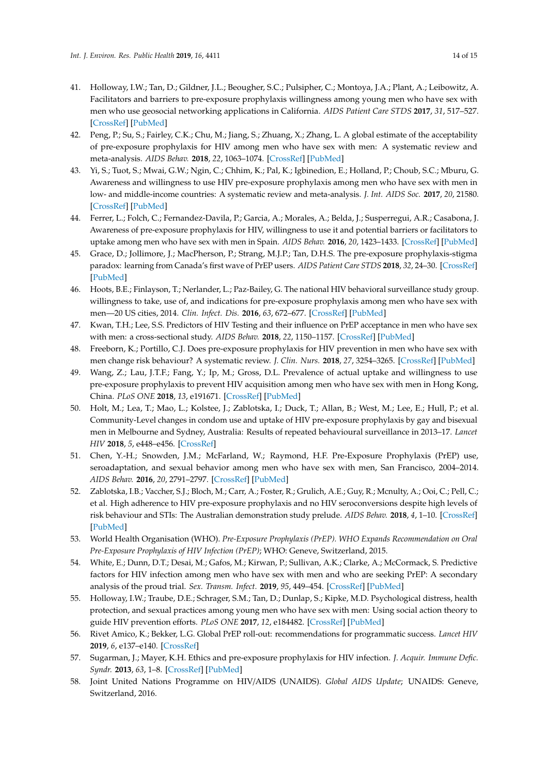- <span id="page-13-0"></span>41. Holloway, I.W.; Tan, D.; Gildner, J.L.; Beougher, S.C.; Pulsipher, C.; Montoya, J.A.; Plant, A.; Leibowitz, A. Facilitators and barriers to pre-exposure prophylaxis willingness among young men who have sex with men who use geosocial networking applications in California. *AIDS Patient Care STDS* **2017**, *31*, 517–527. [\[CrossRef\]](http://dx.doi.org/10.1089/apc.2017.0082) [\[PubMed\]](http://www.ncbi.nlm.nih.gov/pubmed/29211513)
- 42. Peng, P.; Su, S.; Fairley, C.K.; Chu, M.; Jiang, S.; Zhuang, X.; Zhang, L. A global estimate of the acceptability of pre-exposure prophylaxis for HIV among men who have sex with men: A systematic review and meta-analysis. *AIDS Behav.* **2018**, *22*, 1063–1074. [\[CrossRef\]](http://dx.doi.org/10.1007/s10461-017-1675-z) [\[PubMed\]](http://www.ncbi.nlm.nih.gov/pubmed/28176168)
- 43. Yi, S.; Tuot, S.; Mwai, G.W.; Ngin, C.; Chhim, K.; Pal, K.; Igbinedion, E.; Holland, P.; Choub, S.C.; Mburu, G. Awareness and willingness to use HIV pre-exposure prophylaxis among men who have sex with men in low- and middle-income countries: A systematic review and meta-analysis. *J. Int. AIDS Soc.* **2017**, *20*, 21580. [\[CrossRef\]](http://dx.doi.org/10.7448/IAS.20.1.21580) [\[PubMed\]](http://www.ncbi.nlm.nih.gov/pubmed/28691439)
- 44. Ferrer, L.; Folch, C.; Fernandez-Davila, P.; Garcia, A.; Morales, A.; Belda, J.; Susperregui, A.R.; Casabona, J. Awareness of pre-exposure prophylaxis for HIV, willingness to use it and potential barriers or facilitators to uptake among men who have sex with men in Spain. *AIDS Behav.* **2016**, *20*, 1423–1433. [\[CrossRef\]](http://dx.doi.org/10.1007/s10461-016-1379-9) [\[PubMed\]](http://www.ncbi.nlm.nih.gov/pubmed/27022938)
- <span id="page-13-1"></span>45. Grace, D.; Jollimore, J.; MacPherson, P.; Strang, M.J.P.; Tan, D.H.S. The pre-exposure prophylaxis-stigma paradox: learning from Canada's first wave of PrEP users. *AIDS Patient Care STDS* **2018**, *32*, 24–30. [\[CrossRef\]](http://dx.doi.org/10.1089/apc.2017.0153) [\[PubMed\]](http://www.ncbi.nlm.nih.gov/pubmed/29185801)
- <span id="page-13-2"></span>46. Hoots, B.E.; Finlayson, T.; Nerlander, L.; Paz-Bailey, G. The national HIV behavioral surveillance study group. willingness to take, use of, and indications for pre-exposure prophylaxis among men who have sex with men—20 US cities, 2014. *Clin. Infect. Dis.* **2016**, *63*, 672–677. [\[CrossRef\]](http://dx.doi.org/10.1093/cid/ciw367) [\[PubMed\]](http://www.ncbi.nlm.nih.gov/pubmed/27282710)
- 47. Kwan, T.H.; Lee, S.S. Predictors of HIV Testing and their influence on PrEP acceptance in men who have sex with men: a cross-sectional study. *AIDS Behav.* **2018**, *22*, 1150–1157. [\[CrossRef\]](http://dx.doi.org/10.1007/s10461-017-1978-0) [\[PubMed\]](http://www.ncbi.nlm.nih.gov/pubmed/29127535)
- <span id="page-13-3"></span>48. Freeborn, K.; Portillo, C.J. Does pre-exposure prophylaxis for HIV prevention in men who have sex with men change risk behaviour? A systematic review. *J. Clin. Nurs.* **2018**, *27*, 3254–3265. [\[CrossRef\]](http://dx.doi.org/10.1111/jocn.13990) [\[PubMed\]](http://www.ncbi.nlm.nih.gov/pubmed/28771856)
- <span id="page-13-4"></span>49. Wang, Z.; Lau, J.T.F.; Fang, Y.; Ip, M.; Gross, D.L. Prevalence of actual uptake and willingness to use pre-exposure prophylaxis to prevent HIV acquisition among men who have sex with men in Hong Kong, China. *PLoS ONE* **2018**, *13*, e191671. [\[CrossRef\]](http://dx.doi.org/10.1371/journal.pone.0191671) [\[PubMed\]](http://www.ncbi.nlm.nih.gov/pubmed/29432470)
- <span id="page-13-5"></span>50. Holt, M.; Lea, T.; Mao, L.; Kolstee, J.; Zablotska, I.; Duck, T.; Allan, B.; West, M.; Lee, E.; Hull, P.; et al. Community-Level changes in condom use and uptake of HIV pre-exposure prophylaxis by gay and bisexual men in Melbourne and Sydney, Australia: Results of repeated behavioural surveillance in 2013–17. *Lancet HIV* **2018**, *5*, e448–e456. [\[CrossRef\]](http://dx.doi.org/10.1016/S2352-3018(18)30072-9)
- <span id="page-13-6"></span>51. Chen, Y.-H.; Snowden, J.M.; McFarland, W.; Raymond, H.F. Pre-Exposure Prophylaxis (PrEP) use, seroadaptation, and sexual behavior among men who have sex with men, San Francisco, 2004–2014. *AIDS Behav.* **2016**, *20*, 2791–2797. [\[CrossRef\]](http://dx.doi.org/10.1007/s10461-016-1357-2) [\[PubMed\]](http://www.ncbi.nlm.nih.gov/pubmed/26983951)
- <span id="page-13-7"></span>52. Zablotska, I.B.; Vaccher, S.J.; Bloch, M.; Carr, A.; Foster, R.; Grulich, A.E.; Guy, R.; Mcnulty, A.; Ooi, C.; Pell, C.; et al. High adherence to HIV pre-exposure prophylaxis and no HIV seroconversions despite high levels of risk behaviour and STIs: The Australian demonstration study prelude. *AIDS Behav.* **2018**, *4*, 1–10. [\[CrossRef\]](http://dx.doi.org/10.1007/s10461-018-2290-3) [\[PubMed\]](http://www.ncbi.nlm.nih.gov/pubmed/30284653)
- <span id="page-13-8"></span>53. World Health Organisation (WHO). *Pre-Exposure Prophylaxis (PrEP). WHO Expands Recommendation on Oral Pre-Exposure Prophylaxis of HIV Infection (PrEP)*; WHO: Geneve, Switzerland, 2015.
- <span id="page-13-9"></span>54. White, E.; Dunn, D.T.; Desai, M.; Gafos, M.; Kirwan, P.; Sullivan, A.K.; Clarke, A.; McCormack, S. Predictive factors for HIV infection among men who have sex with men and who are seeking PrEP: A secondary analysis of the proud trial. *Sex. Transm. Infect.* **2019**, *95*, 449–454. [\[CrossRef\]](http://dx.doi.org/10.1136/sextrans-2018-053808) [\[PubMed\]](http://www.ncbi.nlm.nih.gov/pubmed/30918121)
- <span id="page-13-10"></span>55. Holloway, I.W.; Traube, D.E.; Schrager, S.M.; Tan, D.; Dunlap, S.; Kipke, M.D. Psychological distress, health protection, and sexual practices among young men who have sex with men: Using social action theory to guide HIV prevention efforts. *PLoS ONE* **2017**, *12*, e184482. [\[CrossRef\]](http://dx.doi.org/10.1371/journal.pone.0184482) [\[PubMed\]](http://www.ncbi.nlm.nih.gov/pubmed/28886128)
- <span id="page-13-11"></span>56. Rivet Amico, K.; Bekker, L.G. Global PrEP roll-out: recommendations for programmatic success. *Lancet HIV* **2019**, *6*, e137–e140. [\[CrossRef\]](http://dx.doi.org/10.1016/S2352-3018(19)30002-5)
- <span id="page-13-12"></span>57. Sugarman, J.; Mayer, K.H. Ethics and pre-exposure prophylaxis for HIV infection. *J. Acquir. Immune Defic. Syndr.* **2013**, *63*, 1–8. [\[CrossRef\]](http://dx.doi.org/10.1097/QAI.0b013e3182987787) [\[PubMed\]](http://www.ncbi.nlm.nih.gov/pubmed/23764625)
- <span id="page-13-13"></span>58. Joint United Nations Programme on HIV/AIDS (UNAIDS). *Global AIDS Update*; UNAIDS: Geneve, Switzerland, 2016.